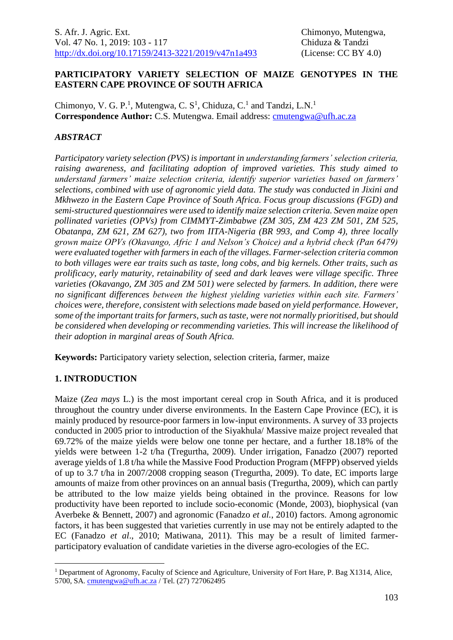## **PARTICIPATORY VARIETY SELECTION OF MAIZE GENOTYPES IN THE EASTERN CAPE PROVINCE OF SOUTH AFRICA**

Chimonyo, V. G. P.<sup>1</sup>, Mutengwa, C.  $S^1$ , Chiduza, C.<sup>1</sup> and Tandzi, L.N.<sup>1</sup> **Correspondence Author:** C.S. Mutengwa. Email address: cmutengwa@ufh.ac.za

## *ABSTRACT*

*Participatory variety selection (PVS) is important in understanding farmers' selection criteria, raising awareness, and facilitating adoption of improved varieties. This study aimed to understand farmers' maize selection criteria, identify superior varieties based on farmers' selections, combined with use of agronomic yield data. The study was conducted in Jixini and Mkhwezo in the Eastern Cape Province of South Africa. Focus group discussions (FGD) and semi-structured questionnaires were used to identify maize selection criteria. Seven maize open pollinated varieties (OPVs) from CIMMYT-Zimbabwe (ZM 305, ZM 423 ZM 501, ZM 525, Obatanpa, ZM 621, ZM 627), two from IITA-Nigeria (BR 993, and Comp 4), three locally grown maize OPVs (Okavango, Afric 1 and Nelson's Choice) and a hybrid check (Pan 6479) were evaluated together with farmers in each of the villages. Farmer-selection criteria common to both villages were ear traits such as taste, long cobs, and big kernels. Other traits, such as prolificacy, early maturity, retainability of seed and dark leaves were village specific. Three varieties (Okavango, ZM 305 and ZM 501) were selected by farmers. In addition, there were no significant differences between the highest yielding varieties within each site. Farmers' choices were, therefore, consistent with selections made based on yield performance. However, some of the important traits for farmers, such astaste, were not normally prioritised, but should be considered when developing or recommending varieties. This will increase the likelihood of their adoption in marginal areas of South Africa.* 

**Keywords:** Participatory variety selection, selection criteria, farmer, maize

# **1. INTRODUCTION**

1

Maize (*Zea mays* L.) is the most important cereal crop in South Africa, and it is produced throughout the country under diverse environments. In the Eastern Cape Province (EC), it is mainly produced by resource-poor farmers in low-input environments. A survey of 33 projects conducted in 2005 prior to introduction of the Siyakhula/ Massive maize project revealed that 69.72% of the maize yields were below one tonne per hectare, and a further 18.18% of the yields were between 1-2 t/ha (Tregurtha, 2009). Under irrigation, Fanadzo (2007) reported average yields of 1.8 t/ha while the Massive Food Production Program (MFPP) observed yields of up to 3.7 t/ha in 2007/2008 cropping season (Tregurtha, 2009). To date, EC imports large amounts of maize from other provinces on an annual basis (Tregurtha, 2009), which can partly be attributed to the low maize yields being obtained in the province. Reasons for low productivity have been reported to include socio-economic (Monde, 2003), biophysical (van Averbeke & Bennett, 2007) and agronomic (Fanadzo *et al.*, 2010) factors. Among agronomic factors, it has been suggested that varieties currently in use may not be entirely adapted to the EC (Fanadzo *et al*., 2010; Matiwana, 2011). This may be a result of limited farmerparticipatory evaluation of candidate varieties in the diverse agro-ecologies of the EC.

<sup>&</sup>lt;sup>1</sup> Department of Agronomy, Faculty of Science and Agriculture, University of Fort Hare, P. Bag X1314, Alice, 5700, SA. [cmutengwa@ufh.ac.za](mailto:cmutengwa@ufh.ac.za) / Tel. (27) 727062495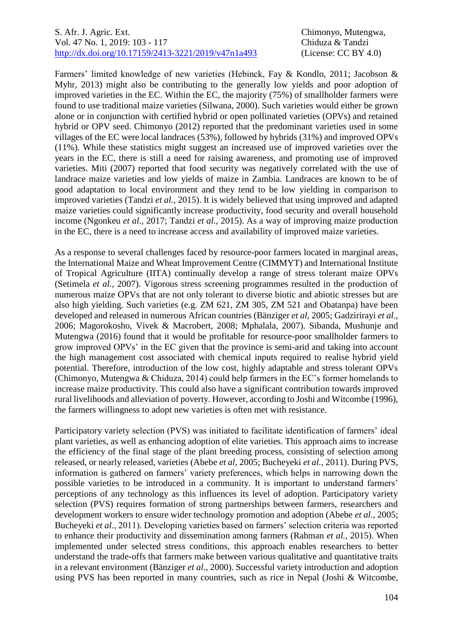#### S. Afr. J. Agric. Ext. Chimonyo, Mutengwa, Vol. 47 No. 1, 2019: 103 - 117 Chiduza & Tandzi [http://dx.doi.org/10.17159/2413-3221/2019/v47n1a493](https://urldefense.proofpoint.com/v2/url?u=http-3A__dx.doi.org_10.17159_2413-2D3221_2019_v47n1a485&d=DwMFAg&c=vTCSeBKl9YZZHWJzz-zQUQ&r=2O1irMqrdumXAIE9PdSLREhTXj5iyPGEywcz8I6zQwI&m=niwmmhX1mCI8GpeJjK8D7j-v09hQgXHBu3LsS3Opojw&s=98o8gy8B6ly02TS5WoJvLScIQPXENi4ceK3R3c9Iu9c&e=) (License: CC BY 4.0)

Farmers' limited knowledge of new varieties (Hebinck, Fay & Kondlo, 2011; Jacobson & Myhr, 2013) might also be contributing to the generally low yields and poor adoption of improved varieties in the EC. Within the EC, the majority (75%) of smallholder farmers were found to use traditional maize varieties (Silwana, 2000). Such varieties would either be grown alone or in conjunction with certified hybrid or open pollinated varieties (OPVs) and retained hybrid or OPV seed. Chimonyo (2012) reported that the predominant varieties used in some villages of the EC were local landraces (53%), followed by hybrids (31%) and improved OPVs (11%). While these statistics might suggest an increased use of improved varieties over the years in the EC, there is still a need for raising awareness, and promoting use of improved varieties. Miti (2007) reported that food security was negatively correlated with the use of landrace maize varieties and low yields of maize in Zambia. Landraces are known to be of good adaptation to local environment and they tend to be low yielding in comparison to improved varieties (Tandzi *et al.,* 2015). It is widely believed that using improved and adapted maize varieties could significantly increase productivity, food security and overall household income (Ngonkeu *et al.,* 2017; Tandzi *et al.*, 2015). As a way of improving maize production in the EC, there is a need to increase access and availability of improved maize varieties.

As a response to several challenges faced by resource-poor farmers located in marginal areas, the International Maize and Wheat Improvement Centre (CIMMYT) and International Institute of Tropical Agriculture (IITA) continually develop a range of stress tolerant maize OPVs (Setimela *et al.,* 2007). Vigorous stress screening programmes resulted in the production of numerous maize OPVs that are not only tolerant to diverse biotic and abiotic stresses but are also high yielding. Such varieties (e.g. ZM 621, ZM 305, ZM 521 and Obatanpa) have been developed and released in numerous African countries (Bänziger *et al,* 2005; Gadzirirayi *et al.,* 2006; Magorokosho, Vivek & Macrobert*,* 2008; Mphalala, 2007). Sibanda, Mushunje and Mutengwa (2016) found that it would be profitable for resource-poor smallholder farmers to grow improved OPVs' in the EC given that the province is semi-arid and taking into account the high management cost associated with chemical inputs required to realise hybrid yield potential. Therefore, introduction of the low cost, highly adaptable and stress tolerant OPVs (Chimonyo, Mutengwa & Chiduza, 2014) could help farmers in the EC's former homelands to increase maize productivity. This could also have a significant contribution towards improved rural livelihoods and alleviation of poverty. However, according to Joshi and Witcombe (1996), the farmers willingness to adopt new varieties is often met with resistance.

Participatory variety selection (PVS) was initiated to facilitate identification of farmers' ideal plant varieties, as well as enhancing adoption of elite varieties. This approach aims to increase the efficiency of the final stage of the plant breeding process, consisting of selection among released, or nearly released, varieties (Abebe *et al,* 2005; Bucheyeki *et al.,* 2011). During PVS, information is gathered on farmers' variety preferences, which helps in narrowing down the possible varieties to be introduced in a community. It is important to understand farmers' perceptions of any technology as this influences its level of adoption. Participatory variety selection (PVS) requires formation of strong partnerships between farmers, researchers and development workers to ensure wider technology promotion and adoption (Abebe *et al*., 2005; Bucheyeki *et al*., 2011). Developing varieties based on farmers' selection criteria was reported to enhance their productivity and dissemination among farmers (Rahman *et al.*, 2015). When implemented under selected stress conditions, this approach enables researchers to better understand the trade-offs that farmers make between various qualitative and quantitative traits in a relevant environment (Bänziger *et al.,* 2000). Successful variety introduction and adoption using PVS has been reported in many countries, such as rice in Nepal (Joshi & Witcombe,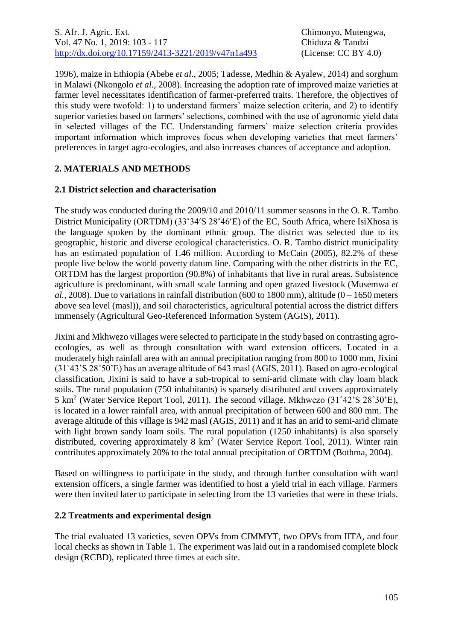1996), maize in Ethiopia (Abebe *et al*., 2005; Tadesse, Medhin & Ayalew, 2014) and sorghum in Malawi (Nkongolo *et al.,* 2008). Increasing the adoption rate of improved maize varieties at farmer level necessitates identification of farmer-preferred traits. Therefore, the objectives of this study were twofold: 1) to understand farmers' maize selection criteria, and 2) to identify superior varieties based on farmers' selections, combined with the use of agronomic yield data in selected villages of the EC. Understanding farmers' maize selection criteria provides important information which improves focus when developing varieties that meet farmers' preferences in target agro-ecologies, and also increases chances of acceptance and adoption.

# **2. MATERIALS AND METHODS**

#### **2.1 District selection and characterisation**

The study was conducted during the 2009/10 and 2010/11 summer seasons in the O. R. Tambo District Municipality (ORTDM) (33°34′S 28°46′E) of the EC, South Africa, where IsiXhosa is the language spoken by the dominant ethnic group. The district was selected due to its geographic, historic and diverse ecological characteristics. O. R. Tambo district municipality has an estimated population of 1.46 million. According to McCain (2005), 82.2% of these people live below the world poverty datum line. Comparing with the other districts in the EC, ORTDM has the largest proportion (90.8%) of inhabitants that live in rural areas. Subsistence agriculture is predominant, with small scale farming and open grazed livestock (Musemwa *et al.*, 2008). Due to variations in rainfall distribution (600 to 1800 mm), altitude ( $0 - 1650$  meters above sea level (masl)), and soil characteristics, agricultural potential across the district differs immensely (Agricultural Geo-Referenced Information System (AGIS), 2011).

Jixini and Mkhwezo villages were selected to participate in the study based on contrasting agroecologies, as well as through consultation with ward extension officers. Located in a moderately high rainfall area with an annual precipitation ranging from 800 to 1000 mm, Jixini (31˚43'S 28˚50'E) has an average altitude of 643 masl (AGIS, 2011). Based on agro-ecological classification, Jixini is said to have a sub-tropical to semi-arid climate with clay loam black soils. The rural population (750 inhabitants) is sparsely distributed and covers approximately 5 km<sup>2</sup> (Water Service Report Tool, 2011). The second village, Mkhwezo (31˚42'S 28˚30'E), is located in a lower rainfall area, with annual precipitation of between 600 and 800 mm. The average altitude of this village is 942 masl (AGIS, 2011) and it has an arid to semi-arid climate with light brown sandy loam soils. The rural population (1250 inhabitants) is also sparsely distributed, covering approximately 8 km<sup>2</sup> (Water Service Report Tool, 2011). Winter rain contributes approximately 20% to the total annual precipitation of ORTDM (Bothma, 2004).

Based on willingness to participate in the study, and through further consultation with ward extension officers, a single farmer was identified to host a yield trial in each village. Farmers were then invited later to participate in selecting from the 13 varieties that were in these trials.

## **2.2 Treatments and experimental design**

The trial evaluated 13 varieties, seven OPVs from CIMMYT, two OPVs from IITA, and four local checks as shown in Table 1. The experiment was laid out in a randomised complete block design (RCBD), replicated three times at each site.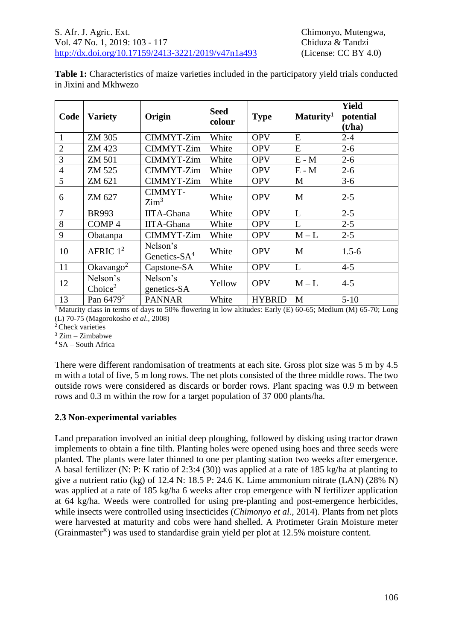**Table 1:** Characteristics of maize varieties included in the participatory yield trials conducted in Jixini and Mkhwezo

| Code           | <b>Variety</b>                  | Origin                      | <b>Seed</b><br>colour | <b>Type</b>   | Maturity <sup>1</sup> | Yield<br>potential<br>(t/ha) |  |
|----------------|---------------------------------|-----------------------------|-----------------------|---------------|-----------------------|------------------------------|--|
| 1              | ZM 305                          | CIMMYT-Zim                  | White                 | <b>OPV</b>    | E                     | $2 - 4$                      |  |
| $\overline{2}$ | ZM 423                          | CIMMYT-Zim                  | White                 | <b>OPV</b>    | E                     | $2 - 6$                      |  |
| 3              | <b>ZM 501</b>                   | CIMMYT-Zim                  | White                 | <b>OPV</b>    | $E - M$               | $2 - 6$                      |  |
| $\overline{4}$ | ZM 525                          | CIMMYT-Zim                  | White                 | <b>OPV</b>    | $E - M$               | $2 - 6$                      |  |
| 5              | ZM 621                          | CIMMYT-Zim                  | White                 | <b>OPV</b>    | M                     | $3 - 6$                      |  |
| 6              | ZM 627                          | CIMMYT-<br>$\mathrm{Zim}^3$ | White                 | <b>OPV</b>    | M                     | $2 - 5$                      |  |
| 7              | <b>BR993</b>                    | <b>IITA-Ghana</b>           | White                 | <b>OPV</b>    | L                     | $2 - 5$                      |  |
| 8              | COMP <sub>4</sub>               | <b>IITA-Ghana</b>           | White                 | <b>OPV</b>    | L                     | $2 - 5$                      |  |
| 9              | Obatanpa                        | <b>CIMMYT-Zim</b>           | White                 | <b>OPV</b>    | $M - L$               | $2 - 5$                      |  |
| 10             | AFRIC $1^2$                     | Nelson's<br>Genetics- $SA4$ | White                 | <b>OPV</b>    | M                     | $1.5 - 6$                    |  |
| 11             | Okavango <sup>2</sup>           | Capstone-SA                 | White                 | <b>OPV</b>    | L                     | $4 - 5$                      |  |
| 12             | Nelson's<br>Choice <sup>2</sup> | Nelson's<br>genetics-SA     | Yellow                | <b>OPV</b>    | $M - L$               | $4 - 5$                      |  |
| 13             | Pan $6479^2$                    | <b>PANNAR</b>               | White                 | <b>HYBRID</b> | M                     | $5-10$                       |  |

<sup>1</sup>Maturity class in terms of days to 50% flowering in low altitudes: Early (E) 60-65; Medium (M) 65-70; Long (L) 70-75 (Magorokosho *et al*., 2008)

<sup>2</sup> Check varieties

 $3$  Zim – Zimbabwe

 $4$ SA – South Africa

There were different randomisation of treatments at each site. Gross plot size was 5 m by 4.5 m with a total of five, 5 m long rows. The net plots consisted of the three middle rows. The two outside rows were considered as discards or border rows. Plant spacing was 0.9 m between rows and 0.3 m within the row for a target population of 37 000 plants/ha.

#### **2.3 Non-experimental variables**

Land preparation involved an initial deep ploughing, followed by disking using tractor drawn implements to obtain a fine tilth. Planting holes were opened using hoes and three seeds were planted. The plants were later thinned to one per planting station two weeks after emergence. A basal fertilizer (N: P: K ratio of 2:3:4 (30)) was applied at a rate of 185 kg/ha at planting to give a nutrient ratio (kg) of 12.4 N: 18.5 P: 24.6 K. Lime ammonium nitrate (LAN) (28% N) was applied at a rate of 185 kg/ha 6 weeks after crop emergence with N fertilizer application at 64 kg/ha. Weeds were controlled for using pre-planting and post-emergence herbicides, while insects were controlled using insecticides (*Chimonyo et al*., 2014). Plants from net plots were harvested at maturity and cobs were hand shelled. A Protimeter Grain Moisture meter (Grainmaster®) was used to standardise grain yield per plot at 12.5% moisture content.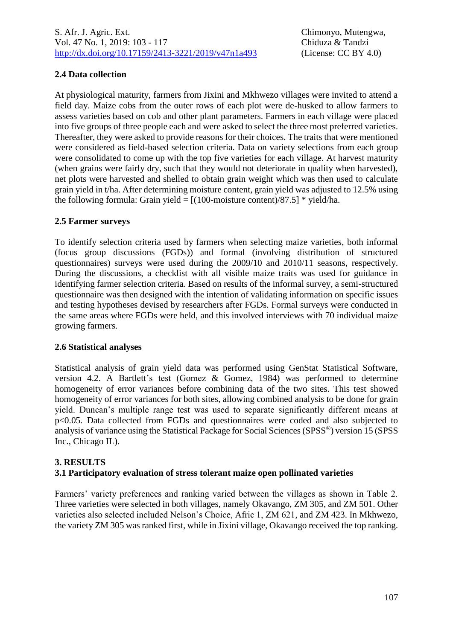# **2.4 Data collection**

At physiological maturity, farmers from Jixini and Mkhwezo villages were invited to attend a field day. Maize cobs from the outer rows of each plot were de-husked to allow farmers to assess varieties based on cob and other plant parameters. Farmers in each village were placed into five groups of three people each and were asked to select the three most preferred varieties. Thereafter, they were asked to provide reasons for their choices. The traits that were mentioned were considered as field-based selection criteria. Data on variety selections from each group were consolidated to come up with the top five varieties for each village. At harvest maturity (when grains were fairly dry, such that they would not deteriorate in quality when harvested), net plots were harvested and shelled to obtain grain weight which was then used to calculate grain yield in t/ha. After determining moisture content, grain yield was adjusted to 12.5% using the following formula: Grain yield =  $[(100$ -moisture content)/87.5] \* yield/ha.

## **2.5 Farmer surveys**

To identify selection criteria used by farmers when selecting maize varieties, both informal (focus group discussions (FGDs)) and formal (involving distribution of structured questionnaires) surveys were used during the 2009/10 and 2010/11 seasons, respectively. During the discussions, a checklist with all visible maize traits was used for guidance in identifying farmer selection criteria. Based on results of the informal survey, a semi-structured questionnaire was then designed with the intention of validating information on specific issues and testing hypotheses devised by researchers after FGDs. Formal surveys were conducted in the same areas where FGDs were held, and this involved interviews with 70 individual maize growing farmers.

## **2.6 Statistical analyses**

Statistical analysis of grain yield data was performed using GenStat Statistical Software, version 4.2. A Bartlett's test (Gomez & Gomez, 1984) was performed to determine homogeneity of error variances before combining data of the two sites. This test showed homogeneity of error variances for both sites, allowing combined analysis to be done for grain yield. Duncan's multiple range test was used to separate significantly different means at p<0.05. Data collected from FGDs and questionnaires were coded and also subjected to analysis of variance using the Statistical Package for Social Sciences (SPSS®) version 15 (SPSS Inc., Chicago IL).

#### **3. RESULTS 3.1 Participatory evaluation of stress tolerant maize open pollinated varieties**

Farmers' variety preferences and ranking varied between the villages as shown in Table 2. Three varieties were selected in both villages, namely Okavango, ZM 305, and ZM 501. Other varieties also selected included Nelson's Choice, Afric 1, ZM 621, and ZM 423. In Mkhwezo, the variety ZM 305 was ranked first, while in Jixini village, Okavango received the top ranking.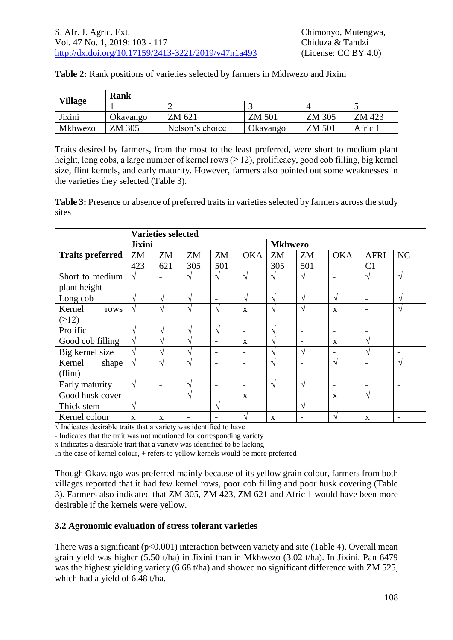|                | Rank     |                 |               |        |         |  |  |  |
|----------------|----------|-----------------|---------------|--------|---------|--|--|--|
| <b>Village</b> |          |                 |               |        |         |  |  |  |
| Jixini         | Okavango | ZM 621          | <b>ZM 501</b> | ZM 305 | ZM 423  |  |  |  |
| Mkhwezo        | ZM 305   | Nelson's choice | Okavango      | ZM 501 | Afric 1 |  |  |  |

Traits desired by farmers, from the most to the least preferred, were short to medium plant height, long cobs, a large number of kernel rows ( $\geq$  12), prolificacy, good cob filling, big kernel size, flint kernels, and early maturity. However, farmers also pointed out some weaknesses in the varieties they selected (Table 3).

**Table 3:** Presence or absence of preferred traits in varieties selected by farmers across the study sites

|                         | <b>Varieties selected</b> |                            |           |                          |                          |                          |                 |                          |                |                 |
|-------------------------|---------------------------|----------------------------|-----------|--------------------------|--------------------------|--------------------------|-----------------|--------------------------|----------------|-----------------|
|                         | <b>Jixini</b>             |                            |           | <b>Mkhwezo</b>           |                          |                          |                 |                          |                |                 |
| <b>Traits preferred</b> | ZM                        | ZM                         | ZM        | ZM                       | <b>OKA</b>               | ZM                       | ZM              | <b>OKA</b>               | <b>AFRI</b>    | NC              |
|                         | 423                       | 621                        | 305       | 501                      |                          | 305                      | 501             |                          | C <sub>1</sub> |                 |
| Short to medium         | $\sqrt{ }$                |                            | V         | $\sqrt{}$                | $\mathcal{N}$            | $\sqrt{ }$               | $\sqrt{ }$      | $\overline{\phantom{0}}$ | V              | $\mathcal{N}$   |
| plant height            |                           |                            |           |                          |                          |                          |                 |                          |                |                 |
| Long cob                | N                         | $\Delta$                   | V         | $\overline{\phantom{a}}$ | $\sqrt{ }$               | $\sqrt{ }$               | $\sqrt{ }$      | $\mathcal{L}$            | $\overline{a}$ | $\gamma$        |
| Kernel<br>rows          | V                         | $\boldsymbol{\mathcal{L}}$ | $\sqrt{}$ | اد                       | $\mathbf{X}$             | $\sqrt{ }$               | N               | $\mathbf{X}$             |                | N               |
| $(\geq 12)$             |                           |                            |           |                          |                          |                          |                 |                          |                |                 |
| Prolific                | V                         | $\Delta$                   | V         | $\sqrt{ }$               | $\overline{\phantom{a}}$ | V                        |                 | $\overline{\phantom{a}}$ |                |                 |
| Good cob filling        | V                         | $\boldsymbol{\gamma}$      | V         | $\overline{\phantom{a}}$ | $\mathbf{X}$             | N                        | $\qquad \qquad$ | $\mathbf{X}$             | V              |                 |
| Big kernel size         | $\sqrt{}$                 | $\boldsymbol{\gamma}$      | V         | $\overline{\phantom{a}}$ | $\overline{\phantom{a}}$ | N                        | V               | $\qquad \qquad$          | N              | $\blacksquare$  |
| Kernel<br>shape         | V                         | $\Delta$                   | V         |                          | $\overline{\phantom{0}}$ | $\sqrt{ }$               |                 | $\mathcal{A}$            |                | $\mathcal{N}$   |
| (flint)                 |                           |                            |           |                          |                          |                          |                 |                          |                |                 |
| Early maturity          | $\sqrt{}$                 | $\overline{\phantom{a}}$   | V         | $\overline{\phantom{a}}$ | $\overline{\phantom{a}}$ | $\sqrt{ }$               | $\sqrt{ }$      | $\overline{\phantom{a}}$ | $\overline{a}$ | $\qquad \qquad$ |
| Good husk cover         | $\overline{\phantom{a}}$  | $\overline{\phantom{a}}$   | N         | $\overline{\phantom{a}}$ | X                        | $\overline{\phantom{0}}$ | $\qquad \qquad$ | $\mathbf{x}$             | ٦              | $\qquad \qquad$ |
| Thick stem              | $\sqrt{ }$                | $\overline{\phantom{0}}$   |           | اد                       | $\overline{\phantom{0}}$ | $\overline{\phantom{0}}$ | N               | $\overline{\phantom{a}}$ |                | $\qquad \qquad$ |
| Kernel colour           | $\mathbf{x}$              | X                          |           |                          | $\mathcal{N}$            | X                        |                 | ٦                        | X              |                 |

√ Indicates desirable traits that a variety was identified to have

- Indicates that the trait was not mentioned for corresponding variety

x Indicates a desirable trait that a variety was identified to be lacking

In the case of kernel colour, + refers to yellow kernels would be more preferred

Though Okavango was preferred mainly because of its yellow grain colour, farmers from both villages reported that it had few kernel rows, poor cob filling and poor husk covering (Table 3). Farmers also indicated that ZM 305, ZM 423, ZM 621 and Afric 1 would have been more desirable if the kernels were yellow.

## **3.2 Agronomic evaluation of stress tolerant varieties**

There was a significant  $(p<0.001)$  interaction between variety and site (Table 4). Overall mean grain yield was higher (5.50 t/ha) in Jixini than in Mkhwezo (3.02 t/ha). In Jixini, Pan 6479 was the highest yielding variety (6.68 t/ha) and showed no significant difference with ZM 525, which had a yield of 6.48 t/ha.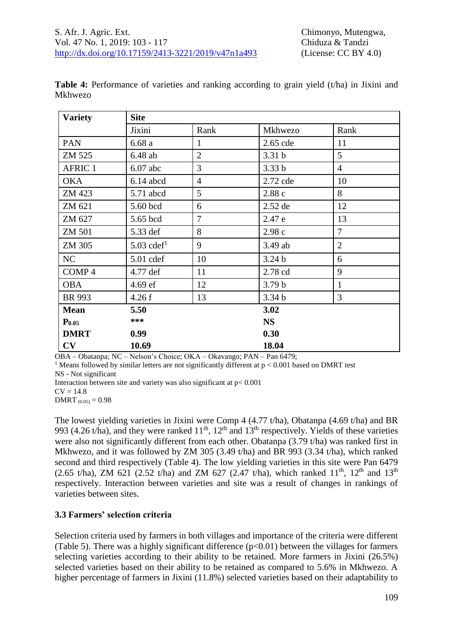| <b>Variety</b>    | <b>Site</b>              |                |                   |                |  |  |  |
|-------------------|--------------------------|----------------|-------------------|----------------|--|--|--|
|                   | Jixini                   | Rank           | Mkhwezo           | Rank           |  |  |  |
| PAN               | 6.68a                    | 1              | 2.65 cde          | 11             |  |  |  |
| ZM 525            | $6.48$ ab                | $\overline{2}$ | 3.31 <sub>b</sub> | 5              |  |  |  |
| <b>AFRIC 1</b>    | $6.07$ abc               | $\overline{3}$ | 3.33 <sub>b</sub> | $\overline{4}$ |  |  |  |
| <b>OKA</b>        | $6.14$ abcd              | $\overline{4}$ | 2.72 cde          | 10             |  |  |  |
| ZM 423            | 5.71 abcd                | 5              | 2.88 c            | 8              |  |  |  |
| ZM 621            | 5.60 bcd                 | 6              | 2.52 de           | 12             |  |  |  |
| ZM 627            | 5.65 bcd                 | $\overline{7}$ | 2.47 e            | 13             |  |  |  |
| <b>ZM 501</b>     | 5.33 def                 | 8              | 2.98c             | $\overline{7}$ |  |  |  |
| ZM 305            | $5.03$ cdef <sup>1</sup> | 9              | 3.49 ab           | $\overline{2}$ |  |  |  |
| NC                | $5.01$ cdef              | 10             | 3.24 <sub>b</sub> | 6              |  |  |  |
| COMP <sub>4</sub> | 4.77 def                 | 11             | 2.78 cd           | 9              |  |  |  |
| <b>OBA</b>        | 4.69 ef                  | 12             | 3.79 <sub>b</sub> | $\mathbf{1}$   |  |  |  |
| <b>BR 993</b>     | 4.26 f                   | 13             | 3.34 <sub>b</sub> | 3              |  |  |  |
| <b>Mean</b>       | 5.50                     |                | 3.02              |                |  |  |  |
| P <sub>0.05</sub> | ***                      |                | <b>NS</b>         |                |  |  |  |
| <b>DMRT</b>       | 0.99                     |                | 0.30              |                |  |  |  |
| CV                | 10.69                    |                | 18.04             |                |  |  |  |

Table 4: Performance of varieties and ranking according to grain yield (t/ha) in Jixini and Mkhwezo

OBA – Obatanpa; NC – Nelson's Choice; OKA – Okavango; PAN – Pan 6479;

<sup>1</sup> Means followed by similar letters are not significantly different at  $p < 0.001$  based on DMRT test

NS - Not significant

Interaction between site and variety was also significant at p< 0.001

 $CV = 14.8$ 

 $DMRT_{(0.05)} = 0.98$ 

The lowest yielding varieties in Jixini were Comp 4 (4.77 t/ha), Obatanpa (4.69 t/ha) and BR 993 (4.26 t/ha), and they were ranked  $11<sup>th</sup>$ ,  $12<sup>th</sup>$  and  $13<sup>th</sup>$  respectively. Yields of these varieties were also not significantly different from each other. Obatanpa (3.79 t/ha) was ranked first in Mkhwezo, and it was followed by ZM 305 (3.49 t/ha) and BR 993 (3.34 t/ha), which ranked second and third respectively (Table 4). The low yielding varieties in this site were Pan 6479 (2.65 t/ha), ZM 621 (2.52 t/ha) and ZM 627 (2.47 t/ha), which ranked  $11^{th}$ ,  $12^{th}$  and  $13^{th}$ respectively. Interaction between varieties and site was a result of changes in rankings of varieties between sites.

## **3.3 Farmers' selection criteria**

Selection criteria used by farmers in both villages and importance of the criteria were different (Table 5). There was a highly significant difference  $(p<0.01)$  between the villages for farmers selecting varieties according to their ability to be retained. More farmers in Jixini (26.5%) selected varieties based on their ability to be retained as compared to 5.6% in Mkhwezo. A higher percentage of farmers in Jixini (11.8%) selected varieties based on their adaptability to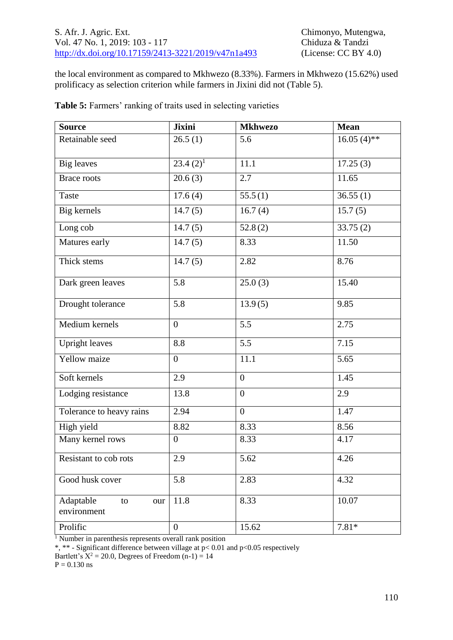the local environment as compared to Mkhwezo (8.33%). Farmers in Mkhwezo (15.62%) used prolificacy as selection criterion while farmers in Jixini did not (Table 5).

| <b>Source</b>                         | <b>Jixini</b>    | <b>Mkhwezo</b>   | <b>Mean</b>       |  |
|---------------------------------------|------------------|------------------|-------------------|--|
| Retainable seed                       | 26.5(1)          | 5.6              | $16.05(4)$ **     |  |
| <b>Big</b> leaves                     | $23.4(2)^1$      | 11.1             | 17.25(3)          |  |
| <b>Brace roots</b>                    | 20.6(3)          | 2.7              | 11.65             |  |
| <b>Taste</b>                          | 17.6(4)          | 55.5(1)          | 36.55(1)          |  |
| Big kernels                           | 14.7(5)          | 16.7(4)          | 15.7(5)           |  |
| Long cob                              | 14.7(5)          | 52.8(2)          | 33.75(2)          |  |
| Matures early                         | 14.7(5)          | 8.33             | 11.50             |  |
| Thick stems                           | 14.7(5)          | 2.82             | 8.76              |  |
| Dark green leaves                     | 5.8              | 25.0(3)          | 15.40             |  |
| Drought tolerance                     | 5.8              | 13.9(5)          | 9.85              |  |
| Medium kernels                        | $\boldsymbol{0}$ | 5.5              | 2.75              |  |
| <b>Upright leaves</b>                 | 8.8              | 5.5              | $\overline{7.15}$ |  |
| Yellow maize                          | $\overline{0}$   | 11.1             | 5.65              |  |
| Soft kernels                          | 2.9              | $\boldsymbol{0}$ | 1.45              |  |
| Lodging resistance                    | 13.8             | $\mathbf{0}$     | 2.9               |  |
| Tolerance to heavy rains              | 2.94             | $\overline{0}$   | 1.47              |  |
| High yield                            | 8.82             | 8.33             | 8.56              |  |
| Many kernel rows                      | $\overline{0}$   | 8.33             | 4.17              |  |
| Resistant to cob rots                 | 2.9              | 5.62             | 4.26              |  |
| Good husk cover                       | 5.8              | 2.83             | 4.32              |  |
| Adaptable<br>to<br>our<br>environment | 11.8             | 8.33             | 10.07             |  |
| Prolific                              | $\boldsymbol{0}$ | 15.62            | $7.81*$           |  |

**Table 5:** Farmers' ranking of traits used in selecting varieties

<sup>1</sup> Number in parenthesis represents overall rank position

\*, \*\* - Significant difference between village at  $p < 0.01$  and  $p < 0.05$  respectively

Bartlett's  $X^2 = 20.0$ , Degrees of Freedom  $(n-1) = 14$ 

 $P = 0.130$  ns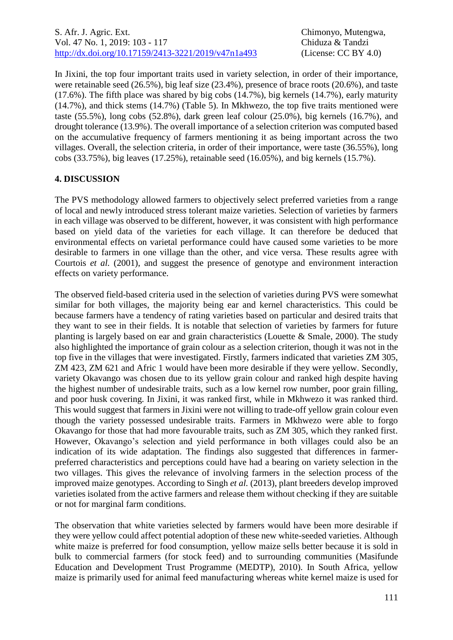In Jixini, the top four important traits used in variety selection, in order of their importance, were retainable seed (26.5%), big leaf size (23.4%), presence of brace roots (20.6%), and taste (17.6%). The fifth place was shared by big cobs (14.7%), big kernels (14.7%), early maturity (14.7%), and thick stems (14.7%) (Table 5). In Mkhwezo, the top five traits mentioned were taste (55.5%), long cobs (52.8%), dark green leaf colour (25.0%), big kernels (16.7%), and drought tolerance (13.9%). The overall importance of a selection criterion was computed based on the accumulative frequency of farmers mentioning it as being important across the two villages. Overall, the selection criteria, in order of their importance, were taste (36.55%), long cobs (33.75%), big leaves (17.25%), retainable seed (16.05%), and big kernels (15.7%).

## **4. DISCUSSION**

The PVS methodology allowed farmers to objectively select preferred varieties from a range of local and newly introduced stress tolerant maize varieties. Selection of varieties by farmers in each village was observed to be different, however, it was consistent with high performance based on yield data of the varieties for each village. It can therefore be deduced that environmental effects on varietal performance could have caused some varieties to be more desirable to farmers in one village than the other, and vice versa. These results agree with Courtois *et al.* (2001), and suggest the presence of genotype and environment interaction effects on variety performance.

The observed field-based criteria used in the selection of varieties during PVS were somewhat similar for both villages, the majority being ear and kernel characteristics. This could be because farmers have a tendency of rating varieties based on particular and desired traits that they want to see in their fields. It is notable that selection of varieties by farmers for future planting is largely based on ear and grain characteristics (Louette & Smale, 2000). The study also highlighted the importance of grain colour as a selection criterion, though it was not in the top five in the villages that were investigated. Firstly, farmers indicated that varieties ZM 305, ZM 423, ZM 621 and Afric 1 would have been more desirable if they were yellow. Secondly, variety Okavango was chosen due to its yellow grain colour and ranked high despite having the highest number of undesirable traits, such as a low kernel row number, poor grain filling, and poor husk covering. In Jixini, it was ranked first, while in Mkhwezo it was ranked third. This would suggest that farmers in Jixini were not willing to trade-off yellow grain colour even though the variety possessed undesirable traits. Farmers in Mkhwezo were able to forgo Okavango for those that had more favourable traits, such as ZM 305, which they ranked first. However, Okavango's selection and yield performance in both villages could also be an indication of its wide adaptation. The findings also suggested that differences in farmerpreferred characteristics and perceptions could have had a bearing on variety selection in the two villages. This gives the relevance of involving farmers in the selection process of the improved maize genotypes. According to Singh *et al.* (2013), plant breeders develop improved varieties isolated from the active farmers and release them without checking if they are suitable or not for marginal farm conditions.

The observation that white varieties selected by farmers would have been more desirable if they were yellow could affect potential adoption of these new white-seeded varieties. Although white maize is preferred for food consumption, yellow maize sells better because it is sold in bulk to commercial farmers (for stock feed) and to surrounding communities (Masifunde Education and Development Trust Programme (MEDTP), 2010). In South Africa, yellow maize is primarily used for animal feed manufacturing whereas white kernel maize is used for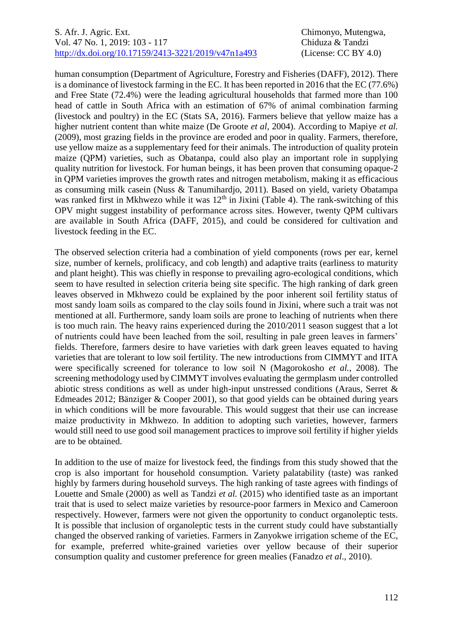#### S. Afr. J. Agric. Ext. Chimonyo, Mutengwa, Vol. 47 No. 1, 2019: 103 - 117 Chiduza & Tandzi [http://dx.doi.org/10.17159/2413-3221/2019/v47n1a493](https://urldefense.proofpoint.com/v2/url?u=http-3A__dx.doi.org_10.17159_2413-2D3221_2019_v47n1a485&d=DwMFAg&c=vTCSeBKl9YZZHWJzz-zQUQ&r=2O1irMqrdumXAIE9PdSLREhTXj5iyPGEywcz8I6zQwI&m=niwmmhX1mCI8GpeJjK8D7j-v09hQgXHBu3LsS3Opojw&s=98o8gy8B6ly02TS5WoJvLScIQPXENi4ceK3R3c9Iu9c&e=) (License: CC BY 4.0)

human consumption (Department of Agriculture, Forestry and Fisheries (DAFF), 2012). There is a dominance of livestock farming in the EC. It has been reported in 2016 that the EC (77.6%) and Free State (72.4%) were the leading agricultural households that farmed more than 100 head of cattle in South Africa with an estimation of 67% of animal combination farming (livestock and poultry) in the EC (Stats SA, 2016). Farmers believe that yellow maize has a higher nutrient content than white maize (De Groote *et al,* 2004). According to Mapiye *et al.* (2009), most grazing fields in the province are eroded and poor in quality. Farmers, therefore, use yellow maize as a supplementary feed for their animals. The introduction of quality protein maize (QPM) varieties, such as Obatanpa, could also play an important role in supplying quality nutrition for livestock. For human beings, it has been proven that consuming opaque-2 in QPM varieties improves the growth rates and nitrogen metabolism, making it as efficacious as consuming milk casein (Nuss & Tanumihardjo, 2011). Based on yield, variety Obatampa was ranked first in Mkhwezo while it was  $12<sup>th</sup>$  in Jixini (Table 4). The rank-switching of this OPV might suggest instability of performance across sites. However, twenty QPM cultivars are available in South Africa (DAFF, 2015), and could be considered for cultivation and livestock feeding in the EC.

The observed selection criteria had a combination of yield components (rows per ear, kernel size, number of kernels, prolificacy, and cob length) and adaptive traits (earliness to maturity and plant height). This was chiefly in response to prevailing agro-ecological conditions, which seem to have resulted in selection criteria being site specific. The high ranking of dark green leaves observed in Mkhwezo could be explained by the poor inherent soil fertility status of most sandy loam soils as compared to the clay soils found in Jixini, where such a trait was not mentioned at all. Furthermore, sandy loam soils are prone to leaching of nutrients when there is too much rain. The heavy rains experienced during the 2010/2011 season suggest that a lot of nutrients could have been leached from the soil, resulting in pale green leaves in farmers' fields. Therefore, farmers desire to have varieties with dark green leaves equated to having varieties that are tolerant to low soil fertility. The new introductions from CIMMYT and IITA were specifically screened for tolerance to low soil N (Magorokosho *et al.*, 2008). The screening methodology used by CIMMYT involves evaluating the germplasm under controlled abiotic stress conditions as well as under high-input unstressed conditions (Araus, Serret & Edmeades 2012; Bänziger & Cooper 2001), so that good yields can be obtained during years in which conditions will be more favourable. This would suggest that their use can increase maize productivity in Mkhwezo. In addition to adopting such varieties, however, farmers would still need to use good soil management practices to improve soil fertility if higher yields are to be obtained.

In addition to the use of maize for livestock feed, the findings from this study showed that the crop is also important for household consumption. Variety palatability (taste) was ranked highly by farmers during household surveys. The high ranking of taste agrees with findings of Louette and Smale (2000) as well as Tandzi *et al.* (2015) who identified taste as an important trait that is used to select maize varieties by resource-poor farmers in Mexico and Cameroon respectively. However, farmers were not given the opportunity to conduct organoleptic tests. It is possible that inclusion of organoleptic tests in the current study could have substantially changed the observed ranking of varieties. Farmers in Zanyokwe irrigation scheme of the EC, for example, preferred white-grained varieties over yellow because of their superior consumption quality and customer preference for green mealies (Fanadzo *et al*., 2010).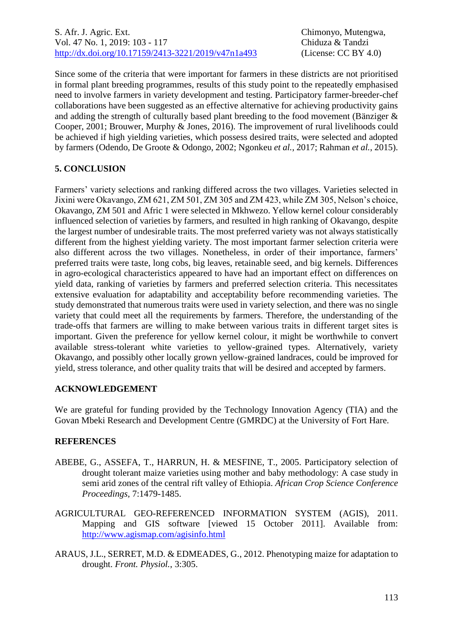Since some of the criteria that were important for farmers in these districts are not prioritised in formal plant breeding programmes, results of this study point to the repeatedly emphasised need to involve farmers in variety development and testing. Participatory farmer-breeder-chef collaborations have been suggested as an effective alternative for achieving productivity gains and adding the strength of culturally based plant breeding to the food movement (Bänziger & Cooper, 2001; Brouwer, Murphy & Jones, 2016). The improvement of rural livelihoods could be achieved if high yielding varieties, which possess desired traits, were selected and adopted by farmers (Odendo, De Groote & Odongo, 2002; Ngonkeu *et al.*, 2017; Rahman *et al.*, 2015).

# **5. CONCLUSION**

Farmers' variety selections and ranking differed across the two villages. Varieties selected in Jixini were Okavango, ZM 621, ZM 501, ZM 305 and ZM 423, while ZM 305, Nelson's choice, Okavango, ZM 501 and Afric 1 were selected in Mkhwezo. Yellow kernel colour considerably influenced selection of varieties by farmers, and resulted in high ranking of Okavango, despite the largest number of undesirable traits. The most preferred variety was not always statistically different from the highest yielding variety. The most important farmer selection criteria were also different across the two villages. Nonetheless, in order of their importance, farmers' preferred traits were taste, long cobs, big leaves, retainable seed, and big kernels. Differences in agro-ecological characteristics appeared to have had an important effect on differences on yield data, ranking of varieties by farmers and preferred selection criteria. This necessitates extensive evaluation for adaptability and acceptability before recommending varieties. The study demonstrated that numerous traits were used in variety selection, and there was no single variety that could meet all the requirements by farmers. Therefore, the understanding of the trade-offs that farmers are willing to make between various traits in different target sites is important. Given the preference for yellow kernel colour, it might be worthwhile to convert available stress-tolerant white varieties to yellow-grained types. Alternatively, variety Okavango, and possibly other locally grown yellow-grained landraces, could be improved for yield, stress tolerance, and other quality traits that will be desired and accepted by farmers.

## **ACKNOWLEDGEMENT**

We are grateful for funding provided by the Technology Innovation Agency (TIA) and the Govan Mbeki Research and Development Centre (GMRDC) at the University of Fort Hare.

## **REFERENCES**

- ABEBE, G., ASSEFA, T., HARRUN, H. & MESFINE, T., 2005. Participatory selection of drought tolerant maize varieties using mother and baby methodology: A case study in semi arid zones of the central rift valley of Ethiopia. *African Crop Science Conference Proceedings,* 7:1479-1485.
- AGRICULTURAL GEO-REFERENCED INFORMATION SYSTEM (AGIS), 2011. Mapping and GIS software [viewed 15 October 2011]. Available from: <http://www.agismap.com/agisinfo.html>
- ARAUS, J.L., SERRET, M.D. & EDMEADES, G., 2012. Phenotyping maize for adaptation to drought. *Front. Physiol.*, 3:305.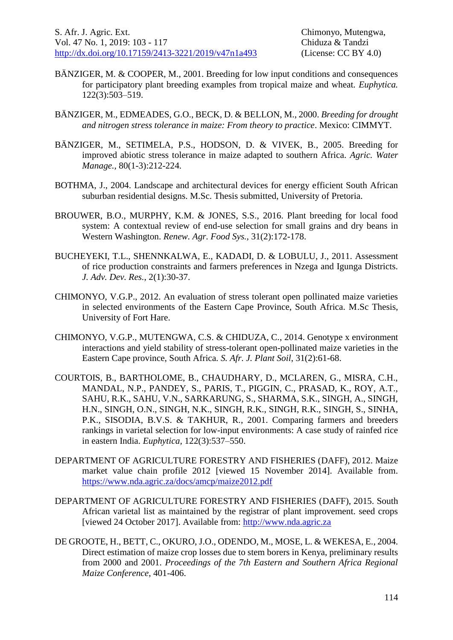- BÄNZIGER, M. & COOPER, M., 2001. Breeding for low input conditions and consequences for participatory plant breeding examples from tropical maize and wheat. *Euphytica.* 122(3):503–519.
- BÄNZIGER, M., EDMEADES, G.O., BECK, D. & BELLON, M., 2000. *Breeding for drought and nitrogen stress tolerance in maize: From theory to practice*. Mexico: CIMMYT.
- BÄNZIGER, M., SETIMELA, P.S., HODSON, D. & VIVEK, B., 2005. Breeding for improved abiotic stress tolerance in maize adapted to southern Africa. *Agric. Water Manage.,* 80(1-3):212-224.
- BOTHMA, J., 2004. Landscape and architectural devices for energy efficient South African suburban residential designs. M.Sc. Thesis submitted, University of Pretoria.
- BROUWER, B.O., MURPHY, K.M. & JONES, S.S., 2016. Plant breeding for local food system: A contextual review of end-use selection for small grains and dry beans in Western Washington. *Renew. Agr. Food Sys.,* 31(2):172-178.
- BUCHEYEKI, T.L., SHENNKALWA, E., KADADI, D. & LOBULU, J., 2011. Assessment of rice production constraints and farmers preferences in Nzega and Igunga Districts. *J. Adv. Dev. Res.*, 2(1):30-37.
- CHIMONYO, V.G.P., 2012. An evaluation of stress tolerant open pollinated maize varieties in selected environments of the Eastern Cape Province, South Africa. M.Sc Thesis, University of Fort Hare.
- CHIMONYO, V.G.P., MUTENGWA, C.S. & CHIDUZA, C., 2014. Genotype x environment interactions and yield stability of stress-tolerant open-pollinated maize varieties in the Eastern Cape province, South Africa. *S. Afr. J. Plant Soil*, 31(2):61-68.
- COURTOIS, B., BARTHOLOME, B., CHAUDHARY, D., MCLAREN, G., MISRA, C.H., MANDAL, N.P., PANDEY, S., PARIS, T., PIGGIN, C., PRASAD, K., ROY, A.T., SAHU, R.K., SAHU, V.N., SARKARUNG, S., SHARMA, S.K., SINGH, A., SINGH, H.N., SINGH, O.N., SINGH, N.K., SINGH, R.K., SINGH, R.K., SINGH, S., SINHA, P.K., SISODIA, B.V.S. & TAKHUR, R., 2001. Comparing farmers and breeders rankings in varietal selection for low-input environments: A case study of rainfed rice in eastern India. *Euphytica,* 122(3):537–550.
- DEPARTMENT OF AGRICULTURE FORESTRY AND FISHERIES (DAFF), 2012. Maize market value chain profile 2012 [viewed 15 November 2014]. Available from. <https://www.nda.agric.za/docs/amcp/maize2012.pdf>
- DEPARTMENT OF AGRICULTURE FORESTRY AND FISHERIES (DAFF), 2015. South African varietal list as maintained by the registrar of plant improvement. seed crops [viewed 24 October 2017]. Available from: [http://www.nda.agric.za](http://www.nda.agric.za/)
- DE GROOTE, H., BETT, C., OKURO, J.O., ODENDO, M., MOSE, L. & WEKESA, E., 2004. Direct estimation of maize crop losses due to stem borers in Kenya, preliminary results from 2000 and 2001. *Proceedings of the 7th Eastern and Southern Africa Regional Maize Conference*, 401-406.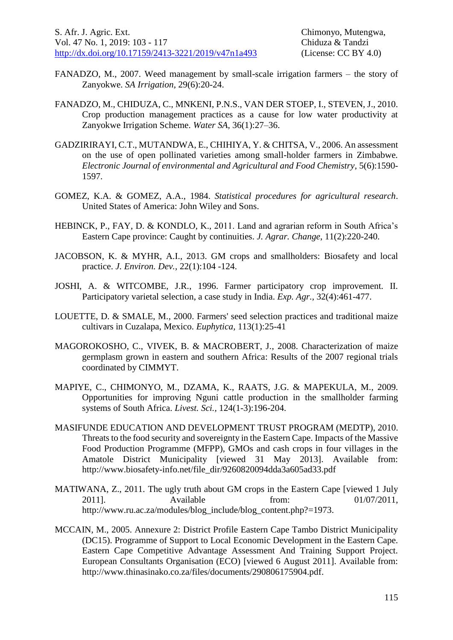- FANADZO, M., 2007. Weed management by small-scale irrigation farmers the story of Zanyokwe. *SA Irrigation,* 29(6):20-24.
- FANADZO, M., CHIDUZA, C., MNKENI, P.N.S., VAN DER STOEP, I., STEVEN, J., 2010. Crop production management practices as a cause for low water productivity at Zanyokwe Irrigation Scheme. *Water SA,* 36(1):27–36.
- GADZIRIRAYI, C.T., MUTANDWA, E., CHIHIYA, Y. & CHITSA, V., 2006. An assessment on the use of open pollinated varieties among small-holder farmers in Zimbabwe*. Electronic Journal of environmental and Agricultural and Food Chemistry,* 5(6):1590- 1597.
- GOMEZ, K.A. & GOMEZ, A.A., 1984. *Statistical procedures for agricultural research*. United States of America: John Wiley and Sons.
- HEBINCK, P., FAY, D. & KONDLO, K., 2011. Land and agrarian reform in South Africa's Eastern Cape province: Caught by continuities. *J. Agrar. Change*, 11(2):220-240.
- JACOBSON, K. & MYHR, A.I., 2013. GM crops and smallholders: Biosafety and local practice. *J. Environ. Dev.,* 22(1):104 -124.
- JOSHI, A. & WITCOMBE, J.R., 1996. Farmer participatory crop improvement. II. Participatory varietal selection, a case study in India. *Exp. Agr.,* 32(4):461-477.
- LOUETTE, D. & SMALE, M., 2000. Farmers' seed selection practices and traditional maize cultivars in Cuzalapa, Mexico. *Euphytica,* 113(1):25-41
- MAGOROKOSHO, C., VIVEK, B. & MACROBERT, J., 2008. Characterization of maize germplasm grown in eastern and southern Africa: Results of the 2007 regional trials coordinated by CIMMYT.
- MAPIYE, C., CHIMONYO, M., DZAMA, K., RAATS, J.G. & MAPEKULA, M., 2009. Opportunities for improving Nguni cattle production in the smallholder farming systems of South Africa. *Livest. Sci.,* 124(1-3):196-204.
- MASIFUNDE EDUCATION AND DEVELOPMENT TRUST PROGRAM (MEDTP), 2010. Threats to the food security and sovereignty in the Eastern Cape. Impacts of the Massive Food Production Programme (MFPP), GMOs and cash crops in four villages in the Amatole District Municipality [viewed 31 May 2013]. Available from: http://www.biosafety-info.net/file\_dir/9260820094dda3a605ad33.pdf
- MATIWANA, Z., 2011. The ugly truth about GM crops in the Eastern Cape [viewed 1 July 2011]. Available from: 01/07/2011, http://www.ru.ac.za/modules/blog\_include/blog\_content.php?=1973.
- MCCAIN, M., 2005. Annexure 2: District Profile Eastern Cape Tambo District Municipality (DC15). Programme of Support to Local Economic Development in the Eastern Cape. Eastern Cape Competitive Advantage Assessment And Training Support Project. European Consultants Organisation (ECO) [viewed 6 August 2011]. Available from: http://www.thinasinako.co.za/files/documents/290806175904.pdf.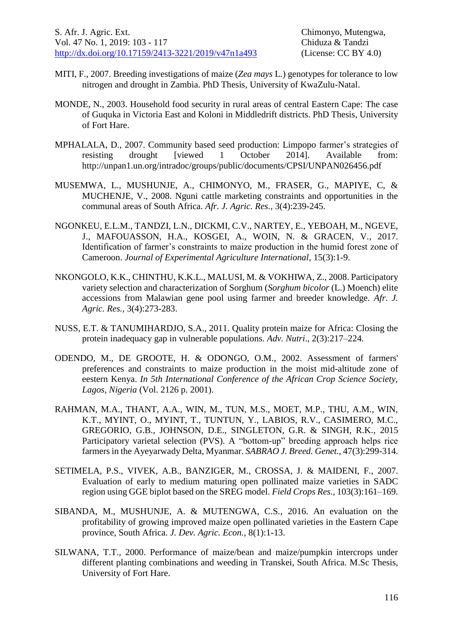- MITI, F., 2007. Breeding investigations of maize (*Zea mays* L.) genotypes for tolerance to low nitrogen and drought in Zambia. PhD Thesis, University of KwaZulu-Natal.
- MONDE, N., 2003. Household food security in rural areas of central Eastern Cape: The case of Guquka in Victoria East and Koloni in Middledrift districts. PhD Thesis, University of Fort Hare.
- MPHALALA, D., 2007. Community based seed production: Limpopo farmer's strategies of resisting drought [viewed 1 October 2014]. Available from: http://unpan1.un.org/intradoc/groups/public/documents/CPSI/UNPAN026456.pdf
- MUSEMWA, L., MUSHUNJE, A., CHIMONYO, M., FRASER, G., MAPIYE, C, & MUCHENJE, V., 2008. Nguni cattle marketing constraints and opportunities in the communal areas of South Africa. *Afr. J. Agric. Res.,* 3(4):239-245.
- NGONKEU, E.L.M., TANDZI, L.N., DICKMI, C.V., NARTEY, E., YEBOAH, M., NGEVE, J., MAFOUASSON, H.A., KOSGEI, A., WOIN, N. & GRACEN, V., 2017. Identification of farmer's constraints to maize production in the humid forest zone of Cameroon. *Journal of Experimental Agriculture International*, 15(3):1-9.
- NKONGOLO, K.K., CHINTHU, K.K.L., MALUSI, M. & VOKHIWA, Z., 2008. Participatory variety selection and characterization of Sorghum (*Sorghum bicolor* (L.) Moench) elite accessions from Malawian gene pool using farmer and breeder knowledge. *Afr. J. Agric. Res.,* 3(4):273-283.
- NUSS, E.T. & TANUMIHARDJO, S.A., 2011. Quality protein maize for Africa: Closing the protein inadequacy gap in vulnerable populations. *Adv. Nutri*., 2(3):217–224.
- ODENDO, M., DE GROOTE, H. & ODONGO, O.M., 2002. Assessment of farmers' preferences and constraints to maize production in the moist mid-altitude zone of eestern Kenya. *In 5th International Conference of the African Crop Science Society, Lagos, Nigeria* (Vol. 2126 p. 2001).
- RAHMAN, M.A., THANT, A.A., WIN, M., TUN, M.S., MOET, M.P., THU, A.M., WIN, K.T., MYINT, O., MYINT, T., TUNTUN, Y., LABIOS, R.V., CASIMERO, M.C., GREGORIO, G.B., JOHNSON, D.E., SINGLETON, G.R. & SINGH, R.K., 2015 Participatory varietal selection (PVS). A "bottom-up" breeding approach helps rice farmers in the Ayeyarwady Delta, Myanmar. *SABRAO J. Breed. Genet.*, 47(3):299-314.
- SETIMELA, P.S., VIVEK, A.B., BANZIGER, M., CROSSA, J. & MAIDENI, F., 2007. Evaluation of early to medium maturing open pollinated maize varieties in SADC region using GGE biplot based on the SREG model. *Field Crops Res.,* 103(3):161–169.
- SIBANDA, M., MUSHUNJE, A. & MUTENGWA, C.S., 2016. An evaluation on the profitability of growing improved maize open pollinated varieties in the Eastern Cape province, South Africa. *J. Dev. Agric. Econ.*, 8(1):1-13.
- SILWANA, T.T., 2000. Performance of maize/bean and maize/pumpkin intercrops under different planting combinations and weeding in Transkei, South Africa. M.Sc Thesis, University of Fort Hare.